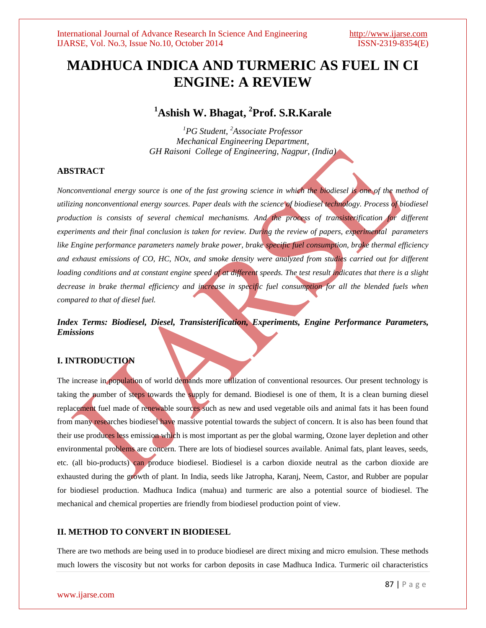# **MADHUCA INDICA AND TURMERIC AS FUEL IN CI ENGINE: A REVIEW**

## **<sup>1</sup>Ashish W. Bhagat, 2 Prof. S.R.Karale**

*<sup>1</sup>PG Student, <sup>2</sup>Associate Professor Mechanical Engineering Department, GH Raisoni College of Engineering, Nagpur, (India)*

#### **ABSTRACT**

*Nonconventional energy source is one of the fast growing science in which the biodiesel is one of the method of utilizing nonconventional energy sources. Paper deals with the science of biodiesel technology. Process of biodiesel production is consists of several chemical mechanisms. And the process of transisterification for different experiments and their final conclusion is taken for review. During the review of papers, experimental parameters like Engine performance parameters namely brake power, brake specific fuel consumption, brake thermal efficiency and exhaust emissions of CO, HC, NOx, and smoke density were analyzed from studies carried out for different loading conditions and at constant engine speed of at different speeds. The test result indicates that there is a slight decrease in brake thermal efficiency and increase in specific fuel consumption for all the blended fuels when compared to that of diesel fuel.*

### *Index Terms: Biodiesel, Diesel, Transisterification, Experiments, Engine Performance Parameters, Emissions*

#### **I. INTRODUCTION**

The increase in population of world demands more utilization of conventional resources. Our present technology is taking the number of steps towards the supply for demand. Biodiesel is one of them, It is a clean burning diesel replacement fuel made of renewable sources such as new and used vegetable oils and animal fats it has been found from many researches biodiesel have massive potential towards the subject of concern. It is also has been found that their use produces less emission which is most important as per the global warming, Ozone layer depletion and other environmental problems are concern. There are lots of biodiesel sources available. Animal fats, plant leaves, seeds, etc. (all bio-products) can produce biodiesel. Biodiesel is a carbon dioxide neutral as the carbon dioxide are exhausted during the growth of plant. In India, seeds like Jatropha, Karanj, Neem, Castor, and Rubber are popular for biodiesel production. Madhuca Indica (mahua) and turmeric are also a potential source of biodiesel. The mechanical and chemical properties are friendly from biodiesel production point of view.

#### **II. METHOD TO CONVERT IN BIODIESEL**

There are two methods are being used in to produce biodiesel are direct mixing and micro emulsion. These methods much lowers the viscosity but not works for carbon deposits in case Madhuca Indica. Turmeric oil characteristics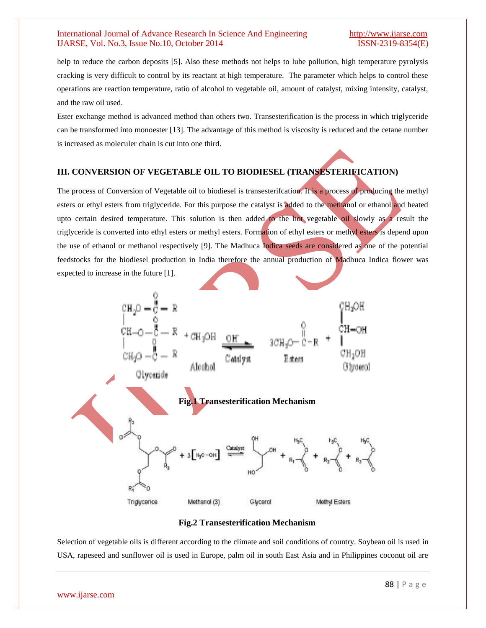help to reduce the carbon deposits [5]. Also these methods not helps to lube pollution, high temperature pyrolysis cracking is very difficult to control by its reactant at high temperature. The parameter which helps to control these operations are reaction temperature, ratio of alcohol to vegetable oil, amount of catalyst, mixing intensity, catalyst, and the raw oil used.

Ester exchange method is advanced method than others two. Transesterification is the process in which triglyceride can be transformed into monoester [13]. The advantage of this method is viscosity is reduced and the cetane number is increased as moleculer chain is cut into one third.

#### **III. CONVERSION OF VEGETABLE OIL TO BIODIESEL (TRANSESTERIFICATION)**

The process of Conversion of Vegetable oil to biodiesel is transesterifcation. It is a process of producing the methyl esters or ethyl esters from triglyceride. For this purpose the catalyst is added to the methanol or ethanol and heated upto certain desired temperature. This solution is then added to the hot vegetable oil slowly as a result the triglyceride is converted into ethyl esters or methyl esters. Formation of ethyl esters or methyl esters is depend upon the use of ethanol or methanol respectively [9]. The Madhuca Indica seeds are considered as one of the potential feedstocks for the biodiesel production in India therefore the annual production of Madhuca Indica flower was expected to increase in the future [1].



#### **Fig.2 Transesterification Mechanism**

Selection of vegetable oils is different according to the climate and soil conditions of country. Soybean oil is used in USA, rapeseed and sunflower oil is used in Europe, palm oil in south East Asia and in Philippines coconut oil are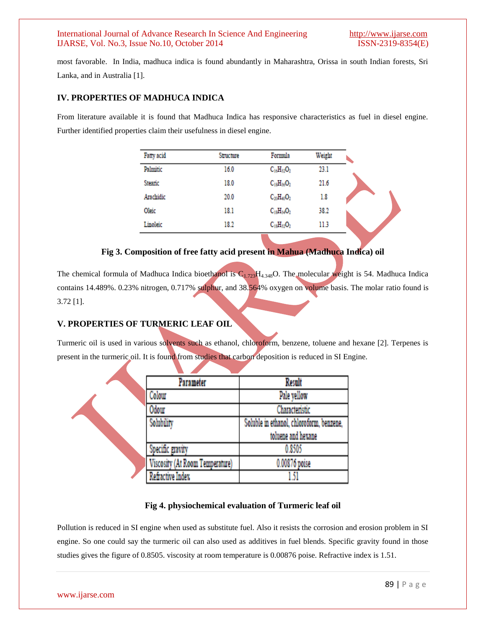most favorable. In India, madhuca indica is found abundantly in Maharashtra, Orissa in south Indian forests, Sri Lanka, and in Australia [1].

#### **IV. PROPERTIES OF MADHUCA INDICA**

From literature available it is found that Madhuca Indica has responsive characteristics as fuel in diesel engine. Further identified properties claim their usefulness in diesel engine.

| Fatty acid | Structure | Formula           | Weight |  |
|------------|-----------|-------------------|--------|--|
| Palmitic   | 16.0      | $C_{16}H_{32}O_2$ | 23.1   |  |
| Stearic    | 18.0      | $C_{18}H_{36}O_2$ | 21.6   |  |
| Arachidic  | 20.0      | $C_{20}H_{40}O_2$ | 1.8    |  |
| Oleic      | 18.1      | $C_{18}H_{34}O_2$ | 38.2   |  |
| Linoleic   | 18.2      | $C_{18}H_{32}O_2$ | 11.3   |  |

#### **Fig 3. Composition of free fatty acid present in Mahua (Madhuca Indica) oil**

The chemical formula of Madhuca Indica bioethanol is  $C_{1.723}H_{4.348}O$ . The molecular weight is 54. Madhuca Indica contains 14.489%. 0.23% nitrogen, 0.717% sulphur, and 38.564% oxygen on volume basis. The molar ratio found is 3.72 [1].

#### **V. PROPERTIES OF TURMERIC LEAF OIL**

Turmeric oil is used in various solvents such as ethanol, chloroform, benzene, toluene and hexane [2]. Terpenes is present in the turmeric oil. It is found from studies that carbon deposition is reduced in SI Engine.

| Parameter                       | <b>Result</b>                            |
|---------------------------------|------------------------------------------|
| Colour                          | Pale yellow                              |
| 0dour                           | Characteristic                           |
| Solubility                      | Soluble in ethanol, chloroform, benzene, |
|                                 | toluene and hexane                       |
| Specific gravity                | 0.8505                                   |
| Viscosity (At Room Temperature) | 0.00876 poise                            |
| Refractive Index                | 151                                      |

#### **Fig 4. physiochemical evaluation of Turmeric leaf oil**

Pollution is reduced in SI engine when used as substitute fuel. Also it resists the corrosion and erosion problem in SI engine. So one could say the turmeric oil can also used as additives in fuel blends. Specific gravity found in those studies gives the figure of 0.8505. viscosity at room temperature is 0.00876 poise. Refractive index is 1.51.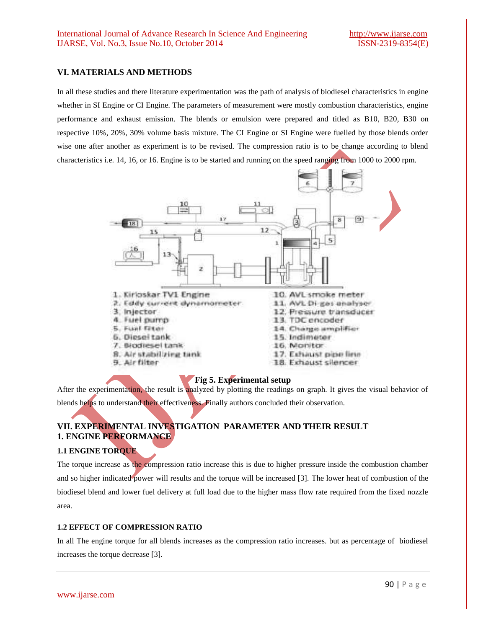#### **VI. MATERIALS AND METHODS**

In all these studies and there literature experimentation was the path of analysis of biodiesel characteristics in engine whether in SI Engine or CI Engine. The parameters of measurement were mostly combustion characteristics, engine performance and exhaust emission. The blends or emulsion were prepared and titled as B10, B20, B30 on respective 10%, 20%, 30% volume basis mixture. The CI Engine or SI Engine were fuelled by those blends order wise one after another as experiment is to be revised. The compression ratio is to be change according to blend characteristics i.e. 14, 16, or 16. Engine is to be started and running on the speed ranging from 1000 to 2000 rpm.



#### **Fig 5. Experimental setup**

After the experimentation, the result is analyzed by plotting the readings on graph. It gives the visual behavior of blends helps to understand their effectiveness. Finally authors concluded their observation.

#### **VII. EXPERIMENTAL INVESTIGATION PARAMETER AND THEIR RESULT 1. ENGINE PERFORMANCE**

#### **1.1 ENGINE TORQUE**

The torque increase as the compression ratio increase this is due to higher pressure inside the combustion chamber and so higher indicated power will results and the torque will be increased [3]. The lower heat of combustion of the biodiesel blend and lower fuel delivery at full load due to the higher mass flow rate required from the fixed nozzle area.

#### **1.2 EFFECT OF COMPRESSION RATIO**

In all The engine torque for all blends increases as the compression ratio increases. but as percentage of biodiesel increases the torque decrease [3].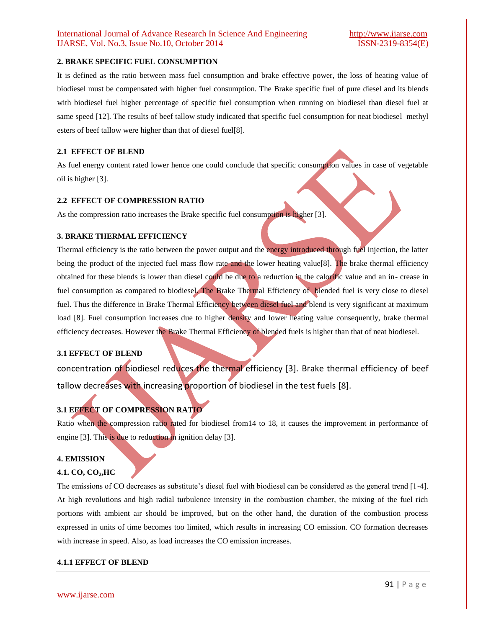#### **2. BRAKE SPECIFIC FUEL CONSUMPTION**

It is defined as the ratio between mass fuel consumption and brake effective power, the loss of heating value of biodiesel must be compensated with higher fuel consumption. The Brake specific fuel of pure diesel and its blends with biodiesel fuel higher percentage of specific fuel consumption when running on biodiesel than diesel fuel at same speed [12]. The results of beef tallow study indicated that specific fuel consumption for neat biodiesel methyl esters of beef tallow were higher than that of diesel fuel[8].

#### **2.1 EFFECT OF BLEND**

As fuel energy content rated lower hence one could conclude that specific consumption values in case of vegetable oil is higher [3].

#### **2.2 EFFECT OF COMPRESSION RATIO**

As the compression ratio increases the Brake specific fuel consumption is higher [3].

#### **3. BRAKE THERMAL EFFICIENCY**

Thermal efficiency is the ratio between the power output and the energy introduced through fuel injection, the latter being the product of the injected fuel mass flow rate and the lower heating value[8]. The brake thermal efficiency obtained for these blends is lower than diesel could be due to a reduction in the calorific value and an in- crease in fuel consumption as compared to biodiesel. The Brake Thermal Efficiency of blended fuel is very close to diesel fuel. Thus the difference in Brake Thermal Efficiency between diesel fuel and blend is very significant at maximum load [8]. Fuel consumption increases due to higher density and lower heating value consequently, brake thermal efficiency decreases. However the Brake Thermal Efficiency of blended fuels is higher than that of neat biodiesel.

#### **3.1 EFFECT OF BLEND**

concentration of biodiesel reduces the thermal efficiency [3]. Brake thermal efficiency of beef tallow decreases with increasing proportion of biodiesel in the test fuels [8].

#### **3.1 EFFECT OF COMPRESSION RATIO**

Ratio when the compression ratio rated for biodiesel from14 to 18, it causes the improvement in performance of engine [3]. This is due to reduction in ignition delay [3].

#### **4. EMISSION**

#### **4.1. CO, CO2,HC**

The emissions of CO decreases as substitute's diesel fuel with biodiesel can be considered as the general trend [1-4]. At high revolutions and high radial turbulence intensity in the combustion chamber, the mixing of the fuel rich portions with ambient air should be improved, but on the other hand, the duration of the combustion process expressed in units of time becomes too limited, which results in increasing CO emission. CO formation decreases with increase in speed. Also, as load increases the CO emission increases.

#### **4.1.1 EFFECT OF BLEND**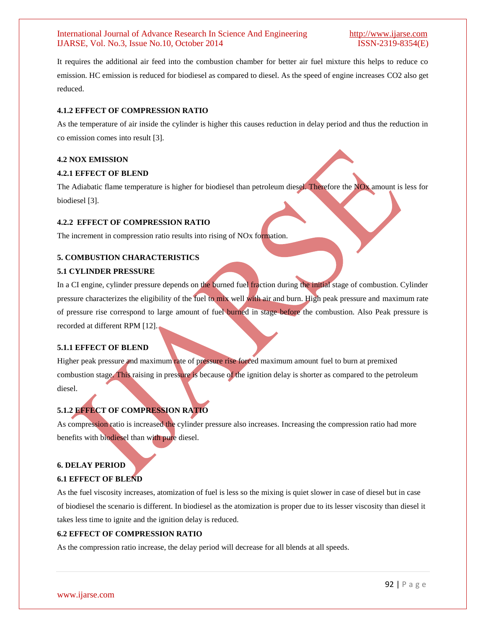It requires the additional air feed into the combustion chamber for better air fuel mixture this helps to reduce co emission. HC emission is reduced for biodiesel as compared to diesel. As the speed of engine increases CO2 also get reduced.

#### **4.1.2 EFFECT OF COMPRESSION RATIO**

As the temperature of air inside the cylinder is higher this causes reduction in delay period and thus the reduction in co emission comes into result [3].

#### **4.2 NOX EMISSION**

#### **4.2.1 EFFECT OF BLEND**

The Adiabatic flame temperature is higher for biodiesel than petroleum diesel. Therefore the NOx amount is less for biodiesel [3].

#### **4.2.2 EFFECT OF COMPRESSION RATIO**

The increment in compression ratio results into rising of NO<sub>x</sub> formation.

#### **5. COMBUSTION CHARACTERISTICS**

#### **5.1 CYLINDER PRESSURE**

In a CI engine, cylinder pressure depends on the burned fuel fraction during the initial stage of combustion. Cylinder pressure characterizes the eligibility of the fuel to mix well with air and burn. High peak pressure and maximum rate of pressure rise correspond to large amount of fuel burned in stage before the combustion. Also Peak pressure is recorded at different RPM [12].

#### **5.1.1 EFFECT OF BLEND**

Higher peak pressure and maximum rate of pressure rise forced maximum amount fuel to burn at premixed combustion stage. This raising in pressure is because of the ignition delay is shorter as compared to the petroleum diesel.

#### **5.1.2 EFFECT OF COMPRESSION RATIO**

As compression ratio is increased the cylinder pressure also increases. Increasing the compression ratio had more benefits with biodiesel than with pure diesel.

### **6. DELAY PERIOD 6.1 EFFECT OF BLEND**

As the fuel viscosity increases, atomization of fuel is less so the mixing is quiet slower in case of diesel but in case of biodiesel the scenario is different. In biodiesel as the atomization is proper due to its lesser viscosity than diesel it takes less time to ignite and the ignition delay is reduced.

#### **6.2 EFFECT OF COMPRESSION RATIO**

As the compression ratio increase, the delay period will decrease for all blends at all speeds.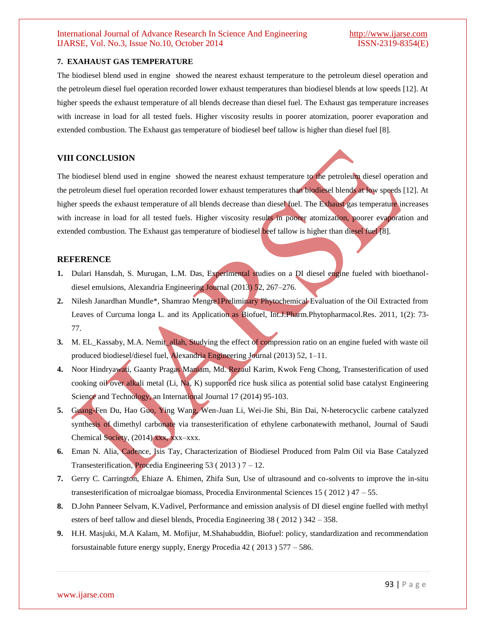#### International Journal of Advance Research In Science And Engineering [http://www.ijarse.com](http://www.ijarse.com/) IJARSE, Vol. No.3, Issue No.10, October 2014 ISSN-2319-8354(E)

#### **7. EXAHAUST GAS TEMPERATURE**

The biodiesel blend used in engine showed the nearest exhaust temperature to the petroleum diesel operation and the petroleum diesel fuel operation recorded lower exhaust temperatures than biodiesel blends at low speeds [12]. At higher speeds the exhaust temperature of all blends decrease than diesel fuel. The Exhaust gas temperature increases with increase in load for all tested fuels. Higher viscosity results in poorer atomization, poorer evaporation and extended combustion. The Exhaust gas temperature of biodiesel beef tallow is higher than diesel fuel [8].

#### **VIII CONCLUSION**

The biodiesel blend used in engine showed the nearest exhaust temperature to the petroleum diesel operation and the petroleum diesel fuel operation recorded lower exhaust temperatures than biodiesel blends at low speeds [12]. At higher speeds the exhaust temperature of all blends decrease than diesel fuel. The Exhaust gas temperature increases with increase in load for all tested fuels. Higher viscosity results in poorer atomization, poorer evaporation and extended combustion. The Exhaust gas temperature of biodiesel beef tallow is higher than diesel fuel [8].

#### **REFERENCE**

- **1.** Dulari Hansdah, S. Murugan, L.M. Das, Experimental studies on a DI diesel engine fueled with bioethanoldiesel emulsions, Alexandria Engineering Journal (2013) 52, 267–276.
- **2.** Nilesh Janardhan Mundle\*, Shamrao Mengre1Preliminary Phytochemical Evaluation of the Oil Extracted from Leaves of Curcuma longa L. and its Application as Biofuel, Int.J.Pharm.Phytopharmacol.Res. 2011, 1(2): 73- 77.
- **3.** M. EL\_Kassaby, M.A. Nemit\_allah, Studying the effect of compression ratio on an engine fueled with waste oil produced biodiesel/diesel fuel, Alexandria Engineering Journal (2013) 52, 1–11.
- **4.** Noor Hindryawati, Gaanty Pragas Maniam, Md. Rezaul Karim, Kwok Feng Chong, Transesterification of used cooking oil over alkali metal (Li, Na, K) supported rice husk silica as potential solid base catalyst Engineering Science and Technology, an International Journal 17 (2014) 95-103.
- **5.** Guang-Fen Du, Hao Guo, Ying Wang, Wen-Juan Li, Wei-Jie Shi, Bin Dai, N-heterocyclic carbene catalyzed synthesis of dimethyl carbonate via transesterification of ethylene carbonatewith methanol, Journal of Saudi Chemical Society, (2014) xxx, xxx–xxx.
- **6.** Eman N. Alia, Cadence, Isis Tay, Characterization of Biodiesel Produced from Palm Oil via Base Catalyzed Transesterification, Procedia Engineering 53 ( 2013 )  $7 - 12$ .
- **7.** Gerry C. Carrington, Ehiaze A. Ehimen, Zhifa Sun, Use of ultrasound and co-solvents to improve the in-situ transesterification of microalgae biomass, Procedia Environmental Sciences 15 ( 2012 ) 47 – 55.
- **8.** D.John Panneer Selvam, K.Vadivel, Performance and emission analysis of DI diesel engine fuelled with methyl esters of beef tallow and diesel blends, Procedia Engineering 38 ( 2012 ) 342 – 358.
- **9.** H.H. Masjuki, M.A Kalam, M. Mofijur, M.Shahabuddin, Biofuel: policy, standardization and recommendation forsustainable future energy supply, Energy Procedia 42 ( 2013 ) 577 – 586.